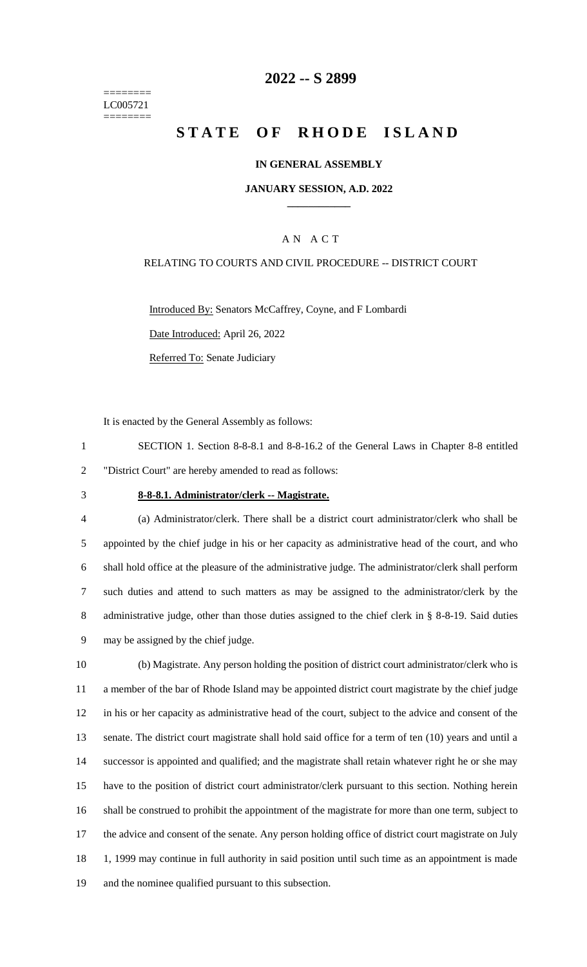======== LC005721 ========

## **2022 -- S 2899**

# **STATE OF RHODE ISLAND**

### **IN GENERAL ASSEMBLY**

#### **JANUARY SESSION, A.D. 2022 \_\_\_\_\_\_\_\_\_\_\_\_**

### A N A C T

#### RELATING TO COURTS AND CIVIL PROCEDURE -- DISTRICT COURT

Introduced By: Senators McCaffrey, Coyne, and F Lombardi Date Introduced: April 26, 2022 Referred To: Senate Judiciary

It is enacted by the General Assembly as follows:

1 SECTION 1. Section 8-8-8.1 and 8-8-16.2 of the General Laws in Chapter 8-8 entitled 2 "District Court" are hereby amended to read as follows:

#### 3 **8-8-8.1. Administrator/clerk -- Magistrate.**

 (a) Administrator/clerk. There shall be a district court administrator/clerk who shall be appointed by the chief judge in his or her capacity as administrative head of the court, and who shall hold office at the pleasure of the administrative judge. The administrator/clerk shall perform such duties and attend to such matters as may be assigned to the administrator/clerk by the 8 administrative judge, other than those duties assigned to the chief clerk in § 8-8-19. Said duties may be assigned by the chief judge.

 (b) Magistrate. Any person holding the position of district court administrator/clerk who is a member of the bar of Rhode Island may be appointed district court magistrate by the chief judge in his or her capacity as administrative head of the court, subject to the advice and consent of the senate. The district court magistrate shall hold said office for a term of ten (10) years and until a successor is appointed and qualified; and the magistrate shall retain whatever right he or she may have to the position of district court administrator/clerk pursuant to this section. Nothing herein shall be construed to prohibit the appointment of the magistrate for more than one term, subject to the advice and consent of the senate. Any person holding office of district court magistrate on July 18 1, 1999 may continue in full authority in said position until such time as an appointment is made and the nominee qualified pursuant to this subsection.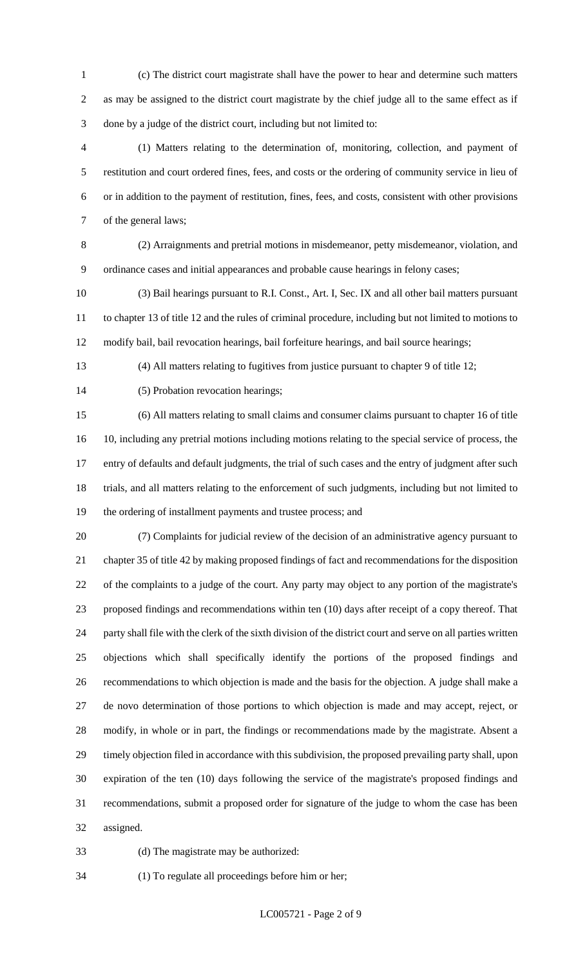- (c) The district court magistrate shall have the power to hear and determine such matters as may be assigned to the district court magistrate by the chief judge all to the same effect as if done by a judge of the district court, including but not limited to:
- (1) Matters relating to the determination of, monitoring, collection, and payment of restitution and court ordered fines, fees, and costs or the ordering of community service in lieu of or in addition to the payment of restitution, fines, fees, and costs, consistent with other provisions of the general laws;
- (2) Arraignments and pretrial motions in misdemeanor, petty misdemeanor, violation, and ordinance cases and initial appearances and probable cause hearings in felony cases;
- (3) Bail hearings pursuant to R.I. Const., Art. I, Sec. IX and all other bail matters pursuant to chapter 13 of title 12 and the rules of criminal procedure, including but not limited to motions to modify bail, bail revocation hearings, bail forfeiture hearings, and bail source hearings;
- 

(4) All matters relating to fugitives from justice pursuant to chapter 9 of title 12;

14 (5) Probation revocation hearings;

 (6) All matters relating to small claims and consumer claims pursuant to chapter 16 of title 10, including any pretrial motions including motions relating to the special service of process, the entry of defaults and default judgments, the trial of such cases and the entry of judgment after such trials, and all matters relating to the enforcement of such judgments, including but not limited to the ordering of installment payments and trustee process; and

 (7) Complaints for judicial review of the decision of an administrative agency pursuant to chapter 35 of title 42 by making proposed findings of fact and recommendations for the disposition of the complaints to a judge of the court. Any party may object to any portion of the magistrate's proposed findings and recommendations within ten (10) days after receipt of a copy thereof. That party shall file with the clerk of the sixth division of the district court and serve on all parties written objections which shall specifically identify the portions of the proposed findings and recommendations to which objection is made and the basis for the objection. A judge shall make a de novo determination of those portions to which objection is made and may accept, reject, or modify, in whole or in part, the findings or recommendations made by the magistrate. Absent a timely objection filed in accordance with this subdivision, the proposed prevailing party shall, upon expiration of the ten (10) days following the service of the magistrate's proposed findings and recommendations, submit a proposed order for signature of the judge to whom the case has been assigned.

(d) The magistrate may be authorized:

(1) To regulate all proceedings before him or her;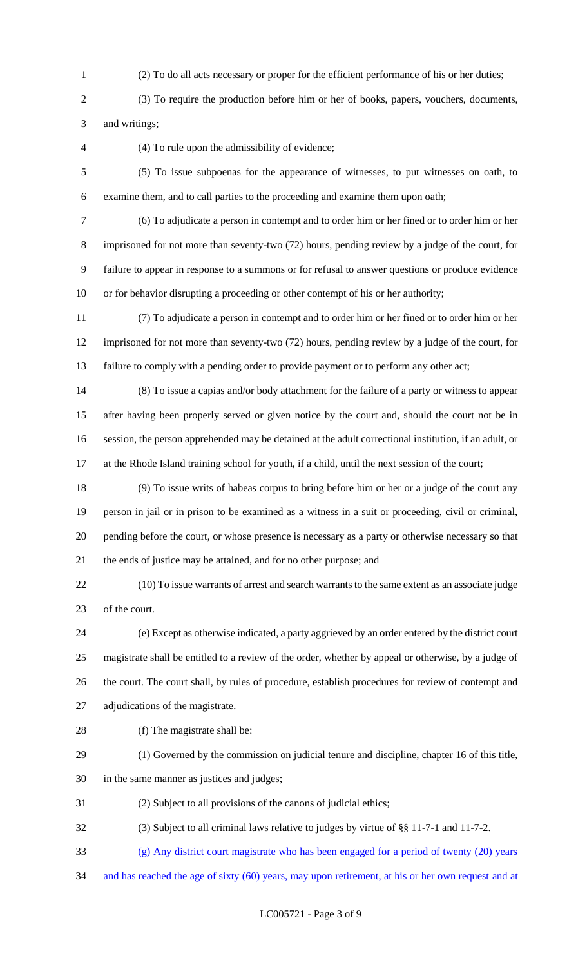- (2) To do all acts necessary or proper for the efficient performance of his or her duties;
- (3) To require the production before him or her of books, papers, vouchers, documents, and writings;
- 

(4) To rule upon the admissibility of evidence;

- (5) To issue subpoenas for the appearance of witnesses, to put witnesses on oath, to examine them, and to call parties to the proceeding and examine them upon oath;
- 

 (6) To adjudicate a person in contempt and to order him or her fined or to order him or her imprisoned for not more than seventy-two (72) hours, pending review by a judge of the court, for failure to appear in response to a summons or for refusal to answer questions or produce evidence or for behavior disrupting a proceeding or other contempt of his or her authority;

 (7) To adjudicate a person in contempt and to order him or her fined or to order him or her imprisoned for not more than seventy-two (72) hours, pending review by a judge of the court, for failure to comply with a pending order to provide payment or to perform any other act;

- (8) To issue a capias and/or body attachment for the failure of a party or witness to appear after having been properly served or given notice by the court and, should the court not be in session, the person apprehended may be detained at the adult correctional institution, if an adult, or at the Rhode Island training school for youth, if a child, until the next session of the court;
- (9) To issue writs of habeas corpus to bring before him or her or a judge of the court any person in jail or in prison to be examined as a witness in a suit or proceeding, civil or criminal, pending before the court, or whose presence is necessary as a party or otherwise necessary so that the ends of justice may be attained, and for no other purpose; and

 (10) To issue warrants of arrest and search warrants to the same extent as an associate judge of the court.

 (e) Except as otherwise indicated, a party aggrieved by an order entered by the district court magistrate shall be entitled to a review of the order, whether by appeal or otherwise, by a judge of the court. The court shall, by rules of procedure, establish procedures for review of contempt and adjudications of the magistrate.

- 
- 28 (f) The magistrate shall be:
- (1) Governed by the commission on judicial tenure and discipline, chapter 16 of this title,
- in the same manner as justices and judges;
- (2) Subject to all provisions of the canons of judicial ethics;
- (3) Subject to all criminal laws relative to judges by virtue of §§ 11-7-1 and 11-7-2.
- (g) Any district court magistrate who has been engaged for a period of twenty (20) years
- 34 and has reached the age of sixty (60) years, may upon retirement, at his or her own request and at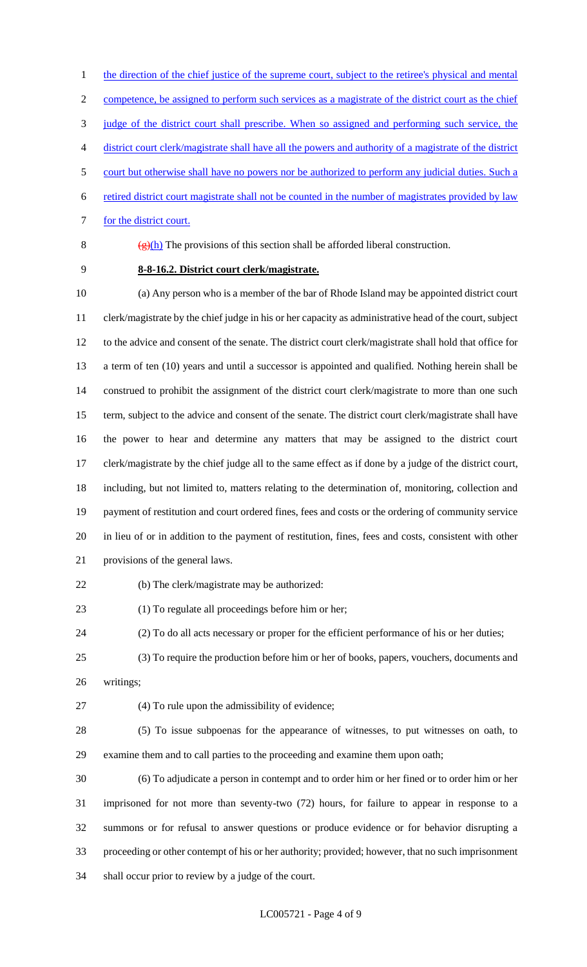1 the direction of the chief justice of the supreme court, subject to the retiree's physical and mental competence, be assigned to perform such services as a magistrate of the district court as the chief judge of the district court shall prescribe. When so assigned and performing such service, the district court clerk/magistrate shall have all the powers and authority of a magistrate of the district court but otherwise shall have no powers nor be authorized to perform any judicial duties. Such a retired district court magistrate shall not be counted in the number of magistrates provided by law

7 for the district court.

8  $(g)(h)$  The provisions of this section shall be afforded liberal construction.

**8-8-16.2. District court clerk/magistrate.**

 (a) Any person who is a member of the bar of Rhode Island may be appointed district court clerk/magistrate by the chief judge in his or her capacity as administrative head of the court, subject to the advice and consent of the senate. The district court clerk/magistrate shall hold that office for a term of ten (10) years and until a successor is appointed and qualified. Nothing herein shall be construed to prohibit the assignment of the district court clerk/magistrate to more than one such term, subject to the advice and consent of the senate. The district court clerk/magistrate shall have the power to hear and determine any matters that may be assigned to the district court clerk/magistrate by the chief judge all to the same effect as if done by a judge of the district court, including, but not limited to, matters relating to the determination of, monitoring, collection and payment of restitution and court ordered fines, fees and costs or the ordering of community service in lieu of or in addition to the payment of restitution, fines, fees and costs, consistent with other provisions of the general laws.

(b) The clerk/magistrate may be authorized:

(1) To regulate all proceedings before him or her;

- (2) To do all acts necessary or proper for the efficient performance of his or her duties;
- (3) To require the production before him or her of books, papers, vouchers, documents and
- writings;
- 

(4) To rule upon the admissibility of evidence;

 (5) To issue subpoenas for the appearance of witnesses, to put witnesses on oath, to examine them and to call parties to the proceeding and examine them upon oath;

 (6) To adjudicate a person in contempt and to order him or her fined or to order him or her imprisoned for not more than seventy-two (72) hours, for failure to appear in response to a summons or for refusal to answer questions or produce evidence or for behavior disrupting a proceeding or other contempt of his or her authority; provided; however, that no such imprisonment shall occur prior to review by a judge of the court.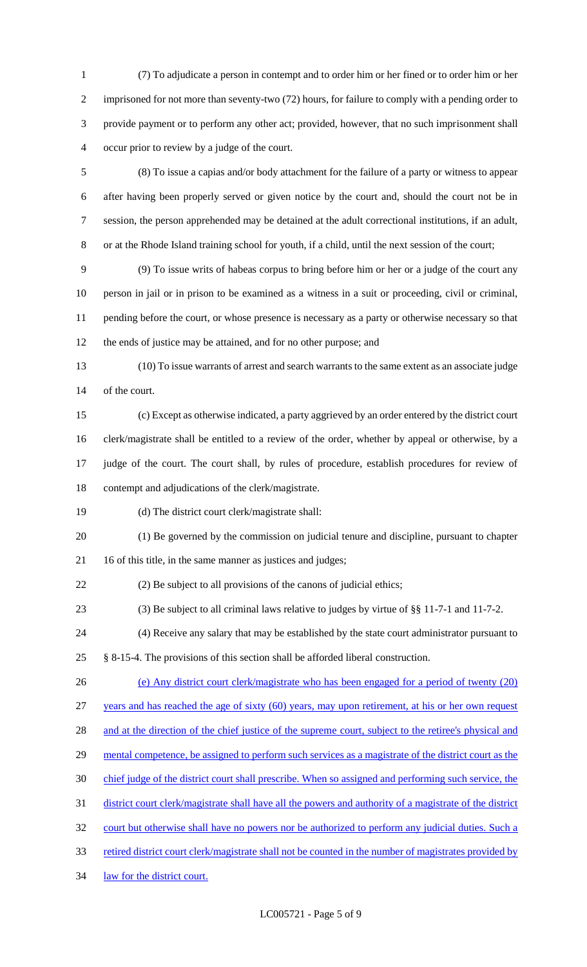(7) To adjudicate a person in contempt and to order him or her fined or to order him or her imprisoned for not more than seventy-two (72) hours, for failure to comply with a pending order to provide payment or to perform any other act; provided, however, that no such imprisonment shall occur prior to review by a judge of the court.

 (8) To issue a capias and/or body attachment for the failure of a party or witness to appear after having been properly served or given notice by the court and, should the court not be in session, the person apprehended may be detained at the adult correctional institutions, if an adult, or at the Rhode Island training school for youth, if a child, until the next session of the court;

 (9) To issue writs of habeas corpus to bring before him or her or a judge of the court any person in jail or in prison to be examined as a witness in a suit or proceeding, civil or criminal, pending before the court, or whose presence is necessary as a party or otherwise necessary so that the ends of justice may be attained, and for no other purpose; and

 (10) To issue warrants of arrest and search warrants to the same extent as an associate judge of the court.

 (c) Except as otherwise indicated, a party aggrieved by an order entered by the district court clerk/magistrate shall be entitled to a review of the order, whether by appeal or otherwise, by a judge of the court. The court shall, by rules of procedure, establish procedures for review of contempt and adjudications of the clerk/magistrate.

(d) The district court clerk/magistrate shall:

 (1) Be governed by the commission on judicial tenure and discipline, pursuant to chapter 16 of this title, in the same manner as justices and judges;

(2) Be subject to all provisions of the canons of judicial ethics;

(3) Be subject to all criminal laws relative to judges by virtue of §§ 11-7-1 and 11-7-2.

(4) Receive any salary that may be established by the state court administrator pursuant to

§ 8-15-4. The provisions of this section shall be afforded liberal construction.

(e) Any district court clerk/magistrate who has been engaged for a period of twenty (20)

years and has reached the age of sixty (60) years, may upon retirement, at his or her own request

28 and at the direction of the chief justice of the supreme court, subject to the retiree's physical and

- 29 mental competence, be assigned to perform such services as a magistrate of the district court as the
- chief judge of the district court shall prescribe. When so assigned and performing such service, the

31 district court clerk/magistrate shall have all the powers and authority of a magistrate of the district

32 court but otherwise shall have no powers nor be authorized to perform any judicial duties. Such a

33 retired district court clerk/magistrate shall not be counted in the number of magistrates provided by

law for the district court.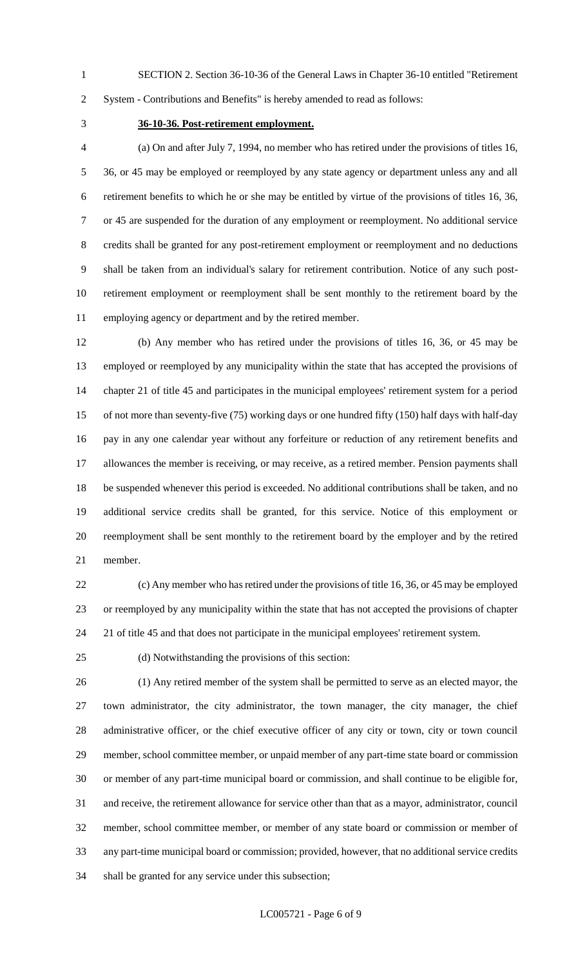SECTION 2. Section 36-10-36 of the General Laws in Chapter 36-10 entitled "Retirement

System - Contributions and Benefits" is hereby amended to read as follows:

## **36-10-36. Post-retirement employment.**

 (a) On and after July 7, 1994, no member who has retired under the provisions of titles 16, 36, or 45 may be employed or reemployed by any state agency or department unless any and all retirement benefits to which he or she may be entitled by virtue of the provisions of titles 16, 36, or 45 are suspended for the duration of any employment or reemployment. No additional service credits shall be granted for any post-retirement employment or reemployment and no deductions shall be taken from an individual's salary for retirement contribution. Notice of any such post- retirement employment or reemployment shall be sent monthly to the retirement board by the employing agency or department and by the retired member.

 (b) Any member who has retired under the provisions of titles 16, 36, or 45 may be employed or reemployed by any municipality within the state that has accepted the provisions of chapter 21 of title 45 and participates in the municipal employees' retirement system for a period of not more than seventy-five (75) working days or one hundred fifty (150) half days with half-day pay in any one calendar year without any forfeiture or reduction of any retirement benefits and allowances the member is receiving, or may receive, as a retired member. Pension payments shall be suspended whenever this period is exceeded. No additional contributions shall be taken, and no additional service credits shall be granted, for this service. Notice of this employment or reemployment shall be sent monthly to the retirement board by the employer and by the retired member.

 (c) Any member who has retired under the provisions of title 16, 36, or 45 may be employed or reemployed by any municipality within the state that has not accepted the provisions of chapter 21 of title 45 and that does not participate in the municipal employees' retirement system.

(d) Notwithstanding the provisions of this section:

 (1) Any retired member of the system shall be permitted to serve as an elected mayor, the town administrator, the city administrator, the town manager, the city manager, the chief administrative officer, or the chief executive officer of any city or town, city or town council member, school committee member, or unpaid member of any part-time state board or commission or member of any part-time municipal board or commission, and shall continue to be eligible for,

and receive, the retirement allowance for service other than that as a mayor, administrator, council

member, school committee member, or member of any state board or commission or member of

any part-time municipal board or commission; provided, however, that no additional service credits

shall be granted for any service under this subsection;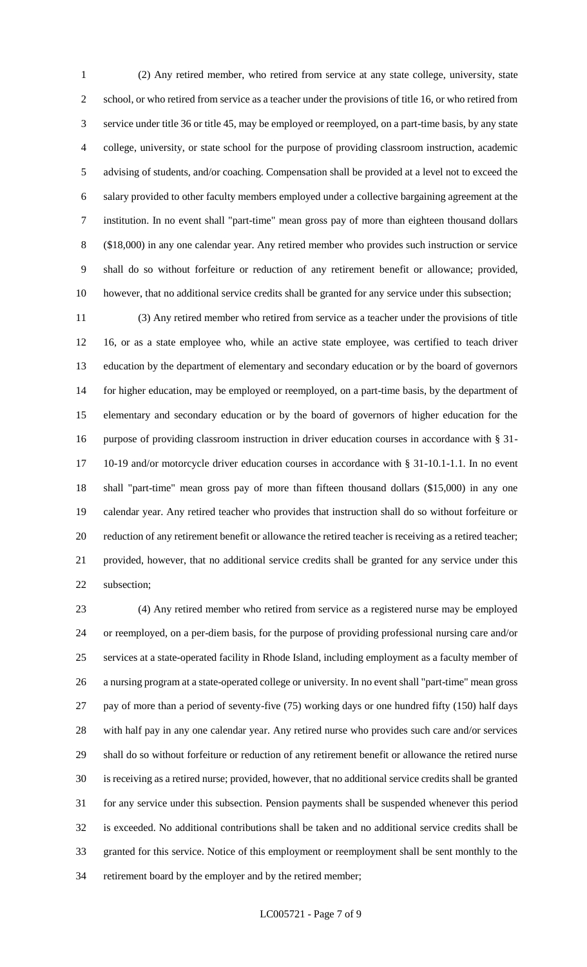(2) Any retired member, who retired from service at any state college, university, state school, or who retired from service as a teacher under the provisions of title 16, or who retired from service under title 36 or title 45, may be employed or reemployed, on a part-time basis, by any state college, university, or state school for the purpose of providing classroom instruction, academic advising of students, and/or coaching. Compensation shall be provided at a level not to exceed the salary provided to other faculty members employed under a collective bargaining agreement at the institution. In no event shall "part-time" mean gross pay of more than eighteen thousand dollars (\$18,000) in any one calendar year. Any retired member who provides such instruction or service shall do so without forfeiture or reduction of any retirement benefit or allowance; provided, however, that no additional service credits shall be granted for any service under this subsection;

 (3) Any retired member who retired from service as a teacher under the provisions of title 16, or as a state employee who, while an active state employee, was certified to teach driver education by the department of elementary and secondary education or by the board of governors for higher education, may be employed or reemployed, on a part-time basis, by the department of elementary and secondary education or by the board of governors of higher education for the purpose of providing classroom instruction in driver education courses in accordance with § 31- 10-19 and/or motorcycle driver education courses in accordance with § 31-10.1-1.1. In no event shall "part-time" mean gross pay of more than fifteen thousand dollars (\$15,000) in any one calendar year. Any retired teacher who provides that instruction shall do so without forfeiture or reduction of any retirement benefit or allowance the retired teacher is receiving as a retired teacher; provided, however, that no additional service credits shall be granted for any service under this subsection;

 (4) Any retired member who retired from service as a registered nurse may be employed or reemployed, on a per-diem basis, for the purpose of providing professional nursing care and/or services at a state-operated facility in Rhode Island, including employment as a faculty member of a nursing program at a state-operated college or university. In no event shall "part-time" mean gross pay of more than a period of seventy-five (75) working days or one hundred fifty (150) half days with half pay in any one calendar year. Any retired nurse who provides such care and/or services shall do so without forfeiture or reduction of any retirement benefit or allowance the retired nurse is receiving as a retired nurse; provided, however, that no additional service credits shall be granted for any service under this subsection. Pension payments shall be suspended whenever this period is exceeded. No additional contributions shall be taken and no additional service credits shall be granted for this service. Notice of this employment or reemployment shall be sent monthly to the retirement board by the employer and by the retired member;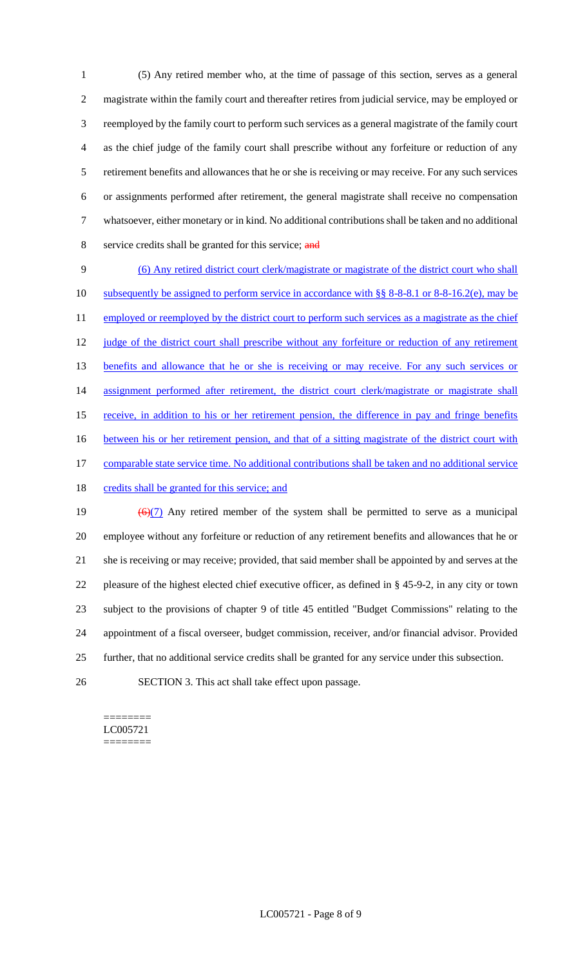(5) Any retired member who, at the time of passage of this section, serves as a general magistrate within the family court and thereafter retires from judicial service, may be employed or reemployed by the family court to perform such services as a general magistrate of the family court as the chief judge of the family court shall prescribe without any forfeiture or reduction of any retirement benefits and allowances that he or she is receiving or may receive. For any such services or assignments performed after retirement, the general magistrate shall receive no compensation whatsoever, either monetary or in kind. No additional contributions shall be taken and no additional 8 service credits shall be granted for this service; and

9 (6) Any retired district court clerk/magistrate or magistrate of the district court who shall 10 subsequently be assigned to perform service in accordance with §§ 8-8-8.1 or 8-8-16.2(e), may be 11 employed or reemployed by the district court to perform such services as a magistrate as the chief 12 judge of the district court shall prescribe without any forfeiture or reduction of any retirement 13 benefits and allowance that he or she is receiving or may receive. For any such services or 14 assignment performed after retirement, the district court clerk/magistrate or magistrate shall 15 receive, in addition to his or her retirement pension, the difference in pay and fringe benefits 16 between his or her retirement pension, and that of a sitting magistrate of the district court with 17 comparable state service time. No additional contributions shall be taken and no additional service 18 credits shall be granted for this service; and 19  $\left(\frac{6}{7}\right)$  Any retired member of the system shall be permitted to serve as a municipal

 employee without any forfeiture or reduction of any retirement benefits and allowances that he or she is receiving or may receive; provided, that said member shall be appointed by and serves at the pleasure of the highest elected chief executive officer, as defined in § 45-9-2, in any city or town subject to the provisions of chapter 9 of title 45 entitled "Budget Commissions" relating to the appointment of a fiscal overseer, budget commission, receiver, and/or financial advisor. Provided further, that no additional service credits shall be granted for any service under this subsection.

26 SECTION 3. This act shall take effect upon passage.

======== LC005721 ========